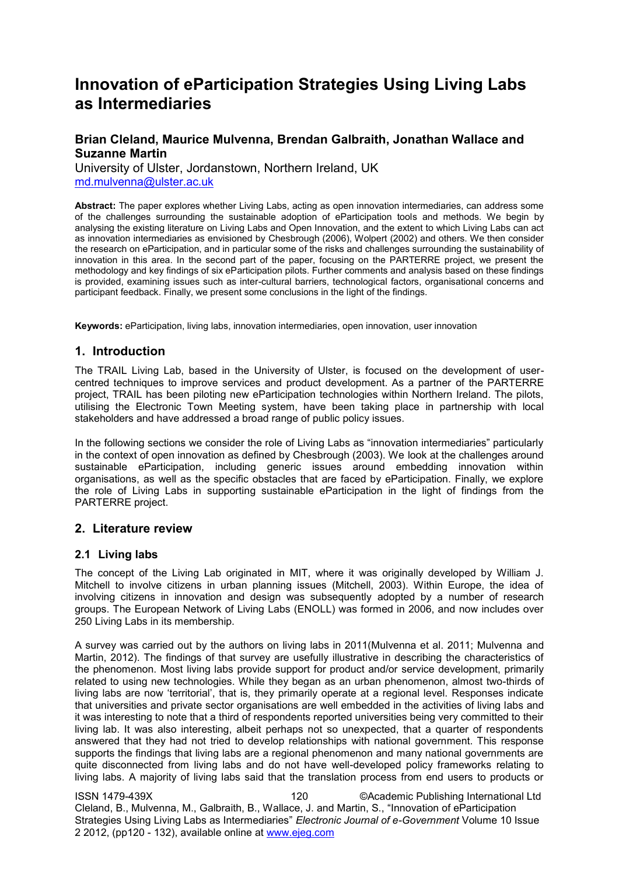# **Innovation of eParticipation Strategies Using Living Labs as Intermediaries**

# **Brian Cleland, Maurice Mulvenna, Brendan Galbraith, Jonathan Wallace and Suzanne Martin**

University of Ulster, Jordanstown, Northern Ireland, UK [md.mulvenna@ulster.ac.uk](mailto:md.mulvenna@ulster.ac.uk)

**Abstract:** The paper explores whether Living Labs, acting as open innovation intermediaries, can address some of the challenges surrounding the sustainable adoption of eParticipation tools and methods. We begin by analysing the existing literature on Living Labs and Open Innovation, and the extent to which Living Labs can act as innovation intermediaries as envisioned by Chesbrough (2006), Wolpert (2002) and others. We then consider the research on eParticipation, and in particular some of the risks and challenges surrounding the sustainability of innovation in this area. In the second part of the paper, focusing on the PARTERRE project, we present the methodology and key findings of six eParticipation pilots. Further comments and analysis based on these findings is provided, examining issues such as inter-cultural barriers, technological factors, organisational concerns and participant feedback. Finally, we present some conclusions in the light of the findings.

**Keywords:** eParticipation, living labs, innovation intermediaries, open innovation, user innovation

# **1. Introduction**

The TRAIL Living Lab, based in the University of Ulster, is focused on the development of usercentred techniques to improve services and product development. As a partner of the PARTERRE project, TRAIL has been piloting new eParticipation technologies within Northern Ireland. The pilots, utilising the Electronic Town Meeting system, have been taking place in partnership with local stakeholders and have addressed a broad range of public policy issues.

In the following sections we consider the role of Living Labs as "innovation intermediaries" particularly in the context of open innovation as defined by Chesbrough (2003). We look at the challenges around sustainable eParticipation, including generic issues around embedding innovation within organisations, as well as the specific obstacles that are faced by eParticipation. Finally, we explore the role of Living Labs in supporting sustainable eParticipation in the light of findings from the PARTERRE project.

# **2. Literature review**

# **2.1 Living labs**

The concept of the Living Lab originated in MIT, where it was originally developed by William J. Mitchell to involve citizens in urban planning issues (Mitchell, 2003). Within Europe, the idea of involving citizens in innovation and design was subsequently adopted by a number of research groups. The European Network of Living Labs (ENOLL) was formed in 2006, and now includes over 250 Living Labs in its membership.

A survey was carried out by the authors on living labs in 2011(Mulvenna et al. 2011; Mulvenna and Martin, 2012). The findings of that survey are usefully illustrative in describing the characteristics of the phenomenon. Most living labs provide support for product and/or service development, primarily related to using new technologies. While they began as an urban phenomenon, almost two-thirds of living labs are now 'territorial', that is, they primarily operate at a regional level. Responses indicate that universities and private sector organisations are well embedded in the activities of living labs and it was interesting to note that a third of respondents reported universities being very committed to their living lab. It was also interesting, albeit perhaps not so unexpected, that a quarter of respondents answered that they had not tried to develop relationships with national government. This response supports the findings that living labs are a regional phenomenon and many national governments are quite disconnected from living labs and do not have well-developed policy frameworks relating to living labs. A majority of living labs said that the translation process from end users to products or

ISSN 1479-439X 120 ©Academic Publishing International Ltd Cleland, B., Mulvenna, M., Galbraith, B., Wallace, J. and Martin, S., "Innovation of eParticipation Strategies Using Living Labs as Intermediaries" *Electronic Journal of e-Government* Volume 10 Issue 2 2012, (pp120 - 132), available online at www.ejeg.com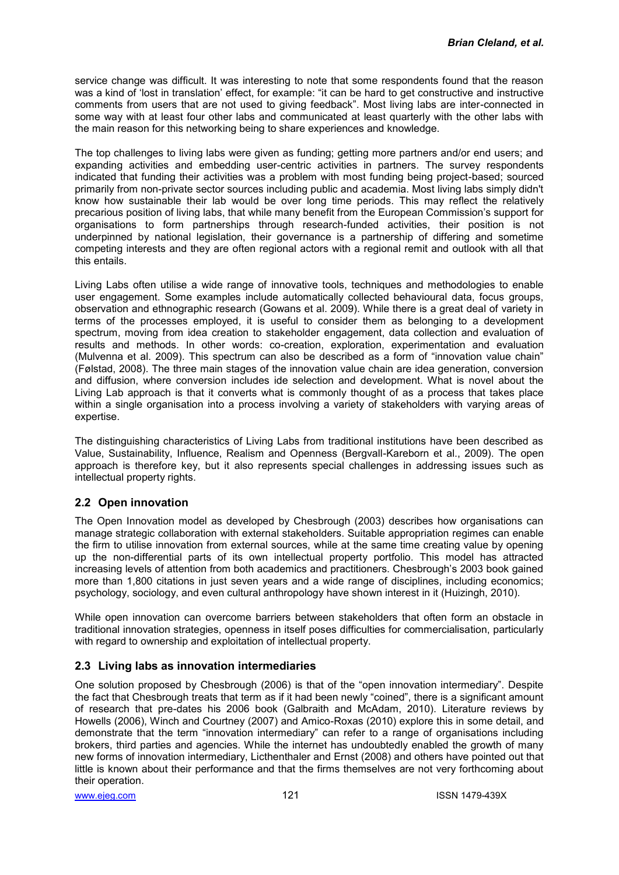service change was difficult. It was interesting to note that some respondents found that the reason was a kind of 'lost in translation' effect, for example: "it can be hard to get constructive and instructive comments from users that are not used to giving feedback". Most living labs are inter-connected in some way with at least four other labs and communicated at least quarterly with the other labs with the main reason for this networking being to share experiences and knowledge.

The top challenges to living labs were given as funding; getting more partners and/or end users; and expanding activities and embedding user-centric activities in partners. The survey respondents indicated that funding their activities was a problem with most funding being project-based; sourced primarily from non-private sector sources including public and academia. Most living labs simply didn't know how sustainable their lab would be over long time periods. This may reflect the relatively precarious position of living labs, that while many benefit from the European Commission's support for organisations to form partnerships through research-funded activities, their position is not underpinned by national legislation, their governance is a partnership of differing and sometime competing interests and they are often regional actors with a regional remit and outlook with all that this entails.

Living Labs often utilise a wide range of innovative tools, techniques and methodologies to enable user engagement. Some examples include automatically collected behavioural data, focus groups, observation and ethnographic research (Gowans et al. 2009). While there is a great deal of variety in terms of the processes employed, it is useful to consider them as belonging to a development spectrum, moving from idea creation to stakeholder engagement, data collection and evaluation of results and methods. In other words: co-creation, exploration, experimentation and evaluation (Mulvenna et al. 2009). This spectrum can also be described as a form of "innovation value chain" (Følstad, 2008). The three main stages of the innovation value chain are idea generation, conversion and diffusion, where conversion includes ide selection and development. What is novel about the Living Lab approach is that it converts what is commonly thought of as a process that takes place within a single organisation into a process involving a variety of stakeholders with varying areas of expertise.

The distinguishing characteristics of Living Labs from traditional institutions have been described as Value, Sustainability, Influence, Realism and Openness (Bergvall-Kareborn et al., 2009). The open approach is therefore key, but it also represents special challenges in addressing issues such as intellectual property rights.

# **2.2 Open innovation**

The Open Innovation model as developed by Chesbrough (2003) describes how organisations can manage strategic collaboration with external stakeholders. Suitable appropriation regimes can enable the firm to utilise innovation from external sources, while at the same time creating value by opening up the non-differential parts of its own intellectual property portfolio. This model has attracted increasing levels of attention from both academics and practitioners. Chesbrough's 2003 book gained more than 1,800 citations in just seven years and a wide range of disciplines, including economics; psychology, sociology, and even cultural anthropology have shown interest in it (Huizingh, 2010).

While open innovation can overcome barriers between stakeholders that often form an obstacle in traditional innovation strategies, openness in itself poses difficulties for commercialisation, particularly with regard to ownership and exploitation of intellectual property.

### **2.3 Living labs as innovation intermediaries**

One solution proposed by Chesbrough (2006) is that of the "open innovation intermediary". Despite the fact that Chesbrough treats that term as if it had been newly "coined", there is a significant amount of research that pre-dates his 2006 book (Galbraith and McAdam, 2010). Literature reviews by Howells (2006), Winch and Courtney (2007) and Amico-Roxas (2010) explore this in some detail, and demonstrate that the term "innovation intermediary" can refer to a range of organisations including brokers, third parties and agencies. While the internet has undoubtedly enabled the growth of many new forms of innovation intermediary, Licthenthaler and Ernst (2008) and others have pointed out that little is known about their performance and that the firms themselves are not very forthcoming about their operation.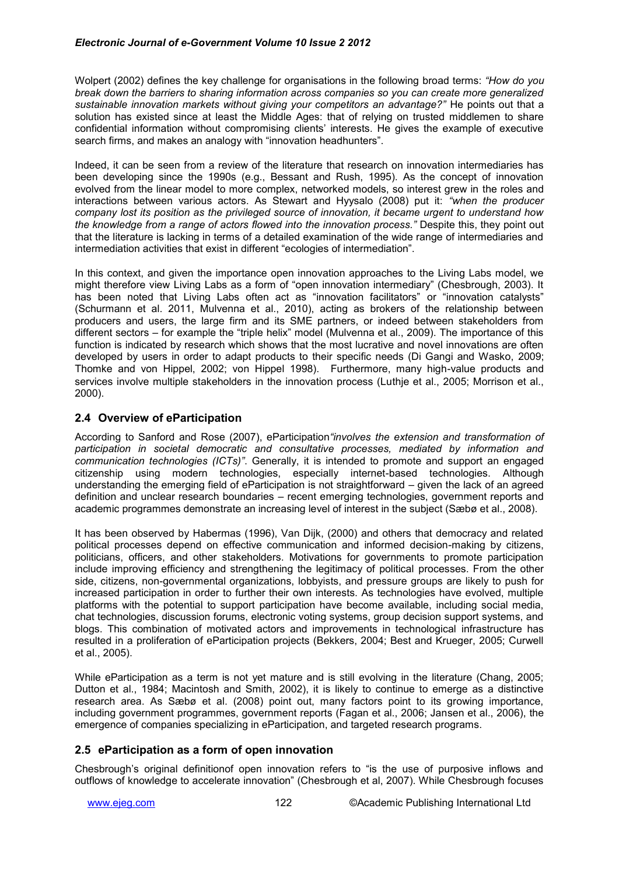Wolpert (2002) defines the key challenge for organisations in the following broad terms: *"How do you break down the barriers to sharing information across companies so you can create more generalized sustainable innovation markets without giving your competitors an advantage?"* He points out that a solution has existed since at least the Middle Ages: that of relying on trusted middlemen to share confidential information without compromising clients' interests. He gives the example of executive search firms, and makes an analogy with "innovation headhunters".

Indeed, it can be seen from a review of the literature that research on innovation intermediaries has been developing since the 1990s (e.g., Bessant and Rush, 1995). As the concept of innovation evolved from the linear model to more complex, networked models, so interest grew in the roles and interactions between various actors. As Stewart and Hyysalo (2008) put it: *"when the producer company lost its position as the privileged source of innovation, it became urgent to understand how the knowledge from a range of actors flowed into the innovation process."* Despite this, they point out that the literature is lacking in terms of a detailed examination of the wide range of intermediaries and intermediation activities that exist in different "ecologies of intermediation".

In this context, and given the importance open innovation approaches to the Living Labs model, we might therefore view Living Labs as a form of "open innovation intermediary" (Chesbrough, 2003). It has been noted that Living Labs often act as "innovation facilitators" or "innovation catalysts" (Schurmann et al. 2011, Mulvenna et al., 2010), acting as brokers of the relationship between producers and users, the large firm and its SME partners, or indeed between stakeholders from different sectors – for example the "triple helix" model (Mulvenna et al., 2009). The importance of this function is indicated by research which shows that the most lucrative and novel innovations are often developed by users in order to adapt products to their specific needs (Di Gangi and Wasko, 2009; Thomke and von Hippel, 2002; von Hippel 1998). Furthermore, many high-value products and services involve multiple stakeholders in the innovation process (Luthje et al., 2005; Morrison et al., 2000).

# **2.4 Overview of eParticipation**

According to Sanford and Rose (2007), eParticipation*"involves the extension and transformation of participation in societal democratic and consultative processes, mediated by information and communication technologies (ICTs)"*. Generally, it is intended to promote and support an engaged citizenship using modern technologies, especially internet-based technologies. Although understanding the emerging field of eParticipation is not straightforward – given the lack of an agreed definition and unclear research boundaries – recent emerging technologies, government reports and academic programmes demonstrate an increasing level of interest in the subject (Sæbø et al., 2008).

It has been observed by Habermas (1996), Van Dijk, (2000) and others that democracy and related political processes depend on effective communication and informed decision-making by citizens, politicians, officers, and other stakeholders. Motivations for governments to promote participation include improving efficiency and strengthening the legitimacy of political processes. From the other side, citizens, non-governmental organizations, lobbyists, and pressure groups are likely to push for increased participation in order to further their own interests. As technologies have evolved, multiple platforms with the potential to support participation have become available, including social media, chat technologies, discussion forums, electronic voting systems, group decision support systems, and blogs. This combination of motivated actors and improvements in technological infrastructure has resulted in a proliferation of eParticipation projects (Bekkers, 2004; Best and Krueger, 2005; Curwell et al., 2005).

While eParticipation as a term is not yet mature and is still evolving in the literature (Chang, 2005; Dutton et al., 1984; Macintosh and Smith, 2002), it is likely to continue to emerge as a distinctive research area. As Sæbø et al. (2008) point out, many factors point to its growing importance, including government programmes, government reports (Fagan et al., 2006; Jansen et al., 2006), the emergence of companies specializing in eParticipation, and targeted research programs.

# **2.5 eParticipation as a form of open innovation**

Chesbrough's original definitionof open innovation refers to "is the use of purposive inflows and outflows of knowledge to accelerate innovation" (Chesbrough et al, 2007). While Chesbrough focuses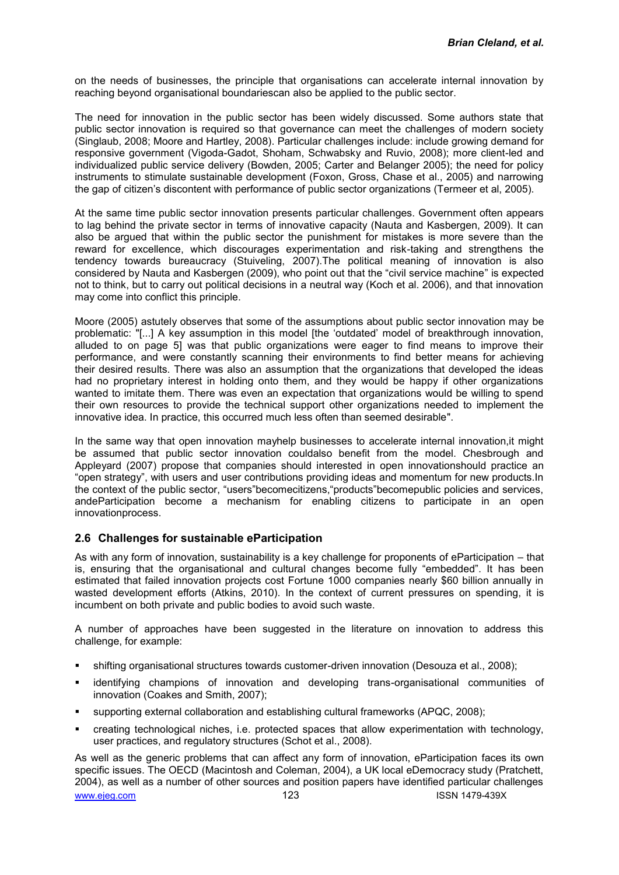on the needs of businesses, the principle that organisations can accelerate internal innovation by reaching beyond organisational boundariescan also be applied to the public sector.

The need for innovation in the public sector has been widely discussed. Some authors state that public sector innovation is required so that governance can meet the challenges of modern society (Singlaub, 2008; Moore and Hartley, 2008). Particular challenges include: include growing demand for responsive government (Vigoda-Gadot, Shoham, Schwabsky and Ruvio, 2008); more client-led and individualized public service delivery (Bowden, 2005; Carter and Belanger 2005); the need for policy instruments to stimulate sustainable development (Foxon, Gross, Chase et al., 2005) and narrowing the gap of citizen's discontent with performance of public sector organizations (Termeer et al, 2005).

At the same time public sector innovation presents particular challenges. Government often appears to lag behind the private sector in terms of innovative capacity (Nauta and Kasbergen, 2009). It can also be argued that within the public sector the punishment for mistakes is more severe than the reward for excellence, which discourages experimentation and risk-taking and strengthens the tendency towards bureaucracy (Stuiveling, 2007).The political meaning of innovation is also considered by Nauta and Kasbergen (2009), who point out that the "civil service machine" is expected not to think, but to carry out political decisions in a neutral way (Koch et al. 2006), and that innovation may come into conflict this principle.

Moore (2005) astutely observes that some of the assumptions about public sector innovation may be problematic: "[...] A key assumption in this model [the 'outdated' model of breakthrough innovation, alluded to on page 5] was that public organizations were eager to find means to improve their performance, and were constantly scanning their environments to find better means for achieving their desired results. There was also an assumption that the organizations that developed the ideas had no proprietary interest in holding onto them, and they would be happy if other organizations wanted to imitate them. There was even an expectation that organizations would be willing to spend their own resources to provide the technical support other organizations needed to implement the innovative idea. In practice, this occurred much less often than seemed desirable".

In the same way that open innovation mayhelp businesses to accelerate internal innovation,it might be assumed that public sector innovation couldalso benefit from the model. Chesbrough and Appleyard (2007) propose that companies should interested in open innovationshould practice an "open strategy", with users and user contributions providing ideas and momentum for new products.In the context of the public sector, "users"becomecitizens,"products"becomepublic policies and services, andeParticipation become a mechanism for enabling citizens to participate in an open innovationprocess.

### **2.6 Challenges for sustainable eParticipation**

As with any form of innovation, sustainability is a key challenge for proponents of eParticipation – that is, ensuring that the organisational and cultural changes become fully "embedded". It has been estimated that failed innovation projects cost Fortune 1000 companies nearly \$60 billion annually in wasted development efforts (Atkins, 2010). In the context of current pressures on spending, it is incumbent on both private and public bodies to avoid such waste.

A number of approaches have been suggested in the literature on innovation to address this challenge, for example:

- shifting organisational structures towards customer-driven innovation (Desouza et al., 2008);
- identifying champions of innovation and developing trans-organisational communities of innovation (Coakes and Smith, 2007);
- supporting external collaboration and establishing cultural frameworks (APQC, 2008);
- creating technological niches, i.e. protected spaces that allow experimentation with technology, user practices, and regulatory structures (Schot et al., 2008).

www.ejeg.com 123 123 ISSN 1479-439X As well as the generic problems that can affect any form of innovation, eParticipation faces its own specific issues. The OECD (Macintosh and Coleman, 2004), a UK local eDemocracy study (Pratchett, 2004), as well as a number of other sources and position papers have identified particular challenges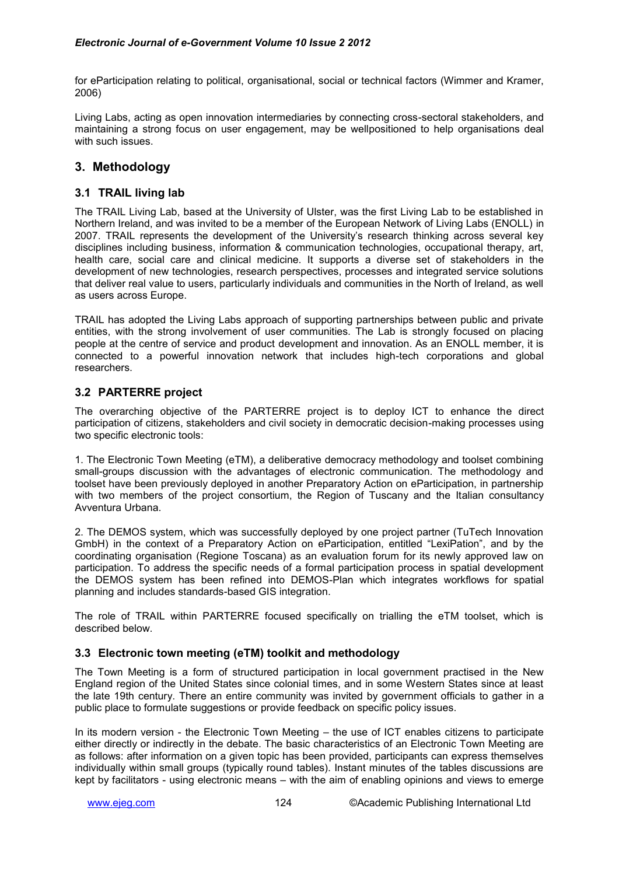for eParticipation relating to political, organisational, social or technical factors (Wimmer and Kramer, 2006)

Living Labs, acting as open innovation intermediaries by connecting cross-sectoral stakeholders, and maintaining a strong focus on user engagement, may be wellpositioned to help organisations deal with such issues.

# **3. Methodology**

### **3.1 TRAIL living lab**

The TRAIL Living Lab, based at the University of Ulster, was the first Living Lab to be established in Northern Ireland, and was invited to be a member of the European Network of Living Labs (ENOLL) in 2007. TRAIL represents the development of the University's research thinking across several key disciplines including business, information & communication technologies, occupational therapy, art, health care, social care and clinical medicine. It supports a diverse set of stakeholders in the development of new technologies, research perspectives, processes and integrated service solutions that deliver real value to users, particularly individuals and communities in the North of Ireland, as well as users across Europe.

TRAIL has adopted the Living Labs approach of supporting partnerships between public and private entities, with the strong involvement of user communities. The Lab is strongly focused on placing people at the centre of service and product development and innovation. As an ENOLL member, it is connected to a powerful innovation network that includes high-tech corporations and global researchers.

# **3.2 PARTERRE project**

The overarching objective of the PARTERRE project is to deploy ICT to enhance the direct participation of citizens, stakeholders and civil society in democratic decision-making processes using two specific electronic tools:

1. The Electronic Town Meeting (eTM), a deliberative democracy methodology and toolset combining small-groups discussion with the advantages of electronic communication. The methodology and toolset have been previously deployed in another Preparatory Action on eParticipation, in partnership with two members of the project consortium, the Region of Tuscany and the Italian consultancy Avventura Urbana.

2. The DEMOS system, which was successfully deployed by one project partner (TuTech Innovation GmbH) in the context of a Preparatory Action on eParticipation, entitled "LexiPation", and by the coordinating organisation (Regione Toscana) as an evaluation forum for its newly approved law on participation. To address the specific needs of a formal participation process in spatial development the DEMOS system has been refined into DEMOS-Plan which integrates workflows for spatial planning and includes standards-based GIS integration.

The role of TRAIL within PARTERRE focused specifically on trialling the eTM toolset, which is described below.

# **3.3 Electronic town meeting (eTM) toolkit and methodology**

The Town Meeting is a form of structured participation in local government practised in the New England region of the United States since colonial times, and in some Western States since at least the late 19th century. There an entire community was invited by government officials to gather in a public place to formulate suggestions or provide feedback on specific policy issues.

In its modern version - the Electronic Town Meeting – the use of ICT enables citizens to participate either directly or indirectly in the debate. The basic characteristics of an Electronic Town Meeting are as follows: after information on a given topic has been provided, participants can express themselves individually within small groups (typically round tables). Instant minutes of the tables discussions are kept by facilitators - using electronic means – with the aim of enabling opinions and views to emerge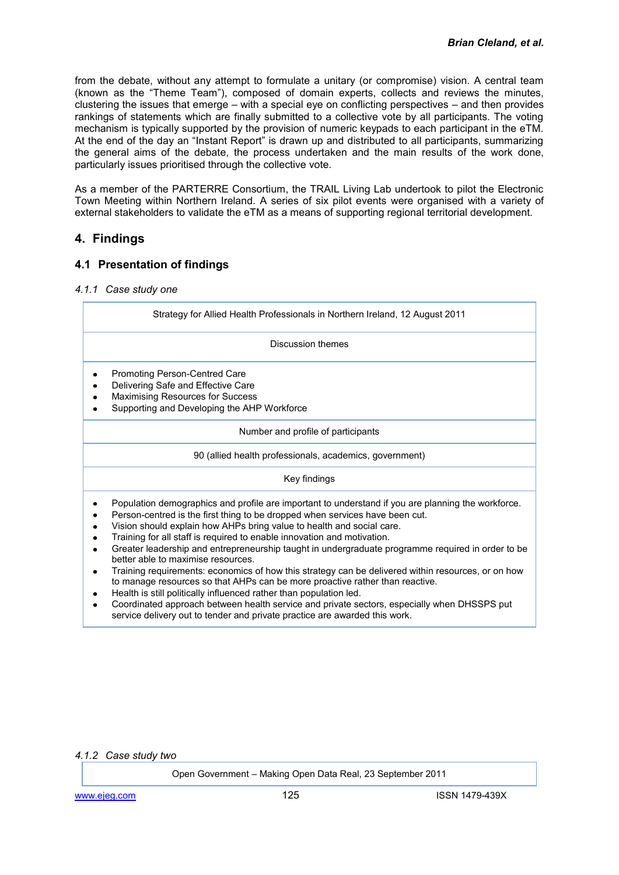from the debate, without any attempt to formulate a unitary (or compromise) vision. A central team (known as the "Theme Team"), composed of domain experts, collects and reviews the minutes, clustering the issues that emerge – with a special eye on conflicting perspectives – and then provides rankings of statements which are finally submitted to a collective vote by all participants. The voting mechanism is typically supported by the provision of numeric keypads to each participant in the eTM. At the end of the day an "Instant Report" is drawn up and distributed to all participants, summarizing the general aims of the debate, the process undertaken and the main results of the work done, particularly issues prioritised through the collective vote.

As a member of the PARTERRE Consortium, the TRAIL Living Lab undertook to pilot the Electronic Town Meeting within Northern Ireland. A series of six pilot events were organised with a variety of external stakeholders to validate the eTM as a means of supporting regional territorial development.

# **4. Findings**

# **4.1 Presentation of findings**

### *4.1.1 Case study one*

| Strategy for Allied Health Professionals in Northern Ireland, 12 August 2011<br>Discussion themes<br>Promoting Person-Centred Care<br>Delivering Safe and Effective Care<br>Maximising Resources for Success<br>Supporting and Developing the AHP Workforce                                                                                                                                                                                                                                                                                                                                                                                                                                                                                                                                                                                                                                                                |
|----------------------------------------------------------------------------------------------------------------------------------------------------------------------------------------------------------------------------------------------------------------------------------------------------------------------------------------------------------------------------------------------------------------------------------------------------------------------------------------------------------------------------------------------------------------------------------------------------------------------------------------------------------------------------------------------------------------------------------------------------------------------------------------------------------------------------------------------------------------------------------------------------------------------------|
|                                                                                                                                                                                                                                                                                                                                                                                                                                                                                                                                                                                                                                                                                                                                                                                                                                                                                                                            |
|                                                                                                                                                                                                                                                                                                                                                                                                                                                                                                                                                                                                                                                                                                                                                                                                                                                                                                                            |
|                                                                                                                                                                                                                                                                                                                                                                                                                                                                                                                                                                                                                                                                                                                                                                                                                                                                                                                            |
| Number and profile of participants                                                                                                                                                                                                                                                                                                                                                                                                                                                                                                                                                                                                                                                                                                                                                                                                                                                                                         |
| 90 (allied health professionals, academics, government)                                                                                                                                                                                                                                                                                                                                                                                                                                                                                                                                                                                                                                                                                                                                                                                                                                                                    |
| Key findings                                                                                                                                                                                                                                                                                                                                                                                                                                                                                                                                                                                                                                                                                                                                                                                                                                                                                                               |
| Population demographics and profile are important to understand if you are planning the workforce.<br>Person-centred is the first thing to be dropped when services have been cut.<br>Vision should explain how AHPs bring value to health and social care.<br>Training for all staff is required to enable innovation and motivation.<br>Greater leadership and entrepreneurship taught in undergraduate programme required in order to be<br>better able to maximise resources.<br>Training requirements: economics of how this strategy can be delivered within resources, or on how<br>to manage resources so that AHPs can be more proactive rather than reactive.<br>Health is still politically influenced rather than population led.<br>Coordinated approach between health service and private sectors, especially when DHSSPS put<br>service delivery out to tender and private practice are awarded this work. |
|                                                                                                                                                                                                                                                                                                                                                                                                                                                                                                                                                                                                                                                                                                                                                                                                                                                                                                                            |

### *4.1.2 Case study two*

Open Government – Making Open Data Real, 23 September 2011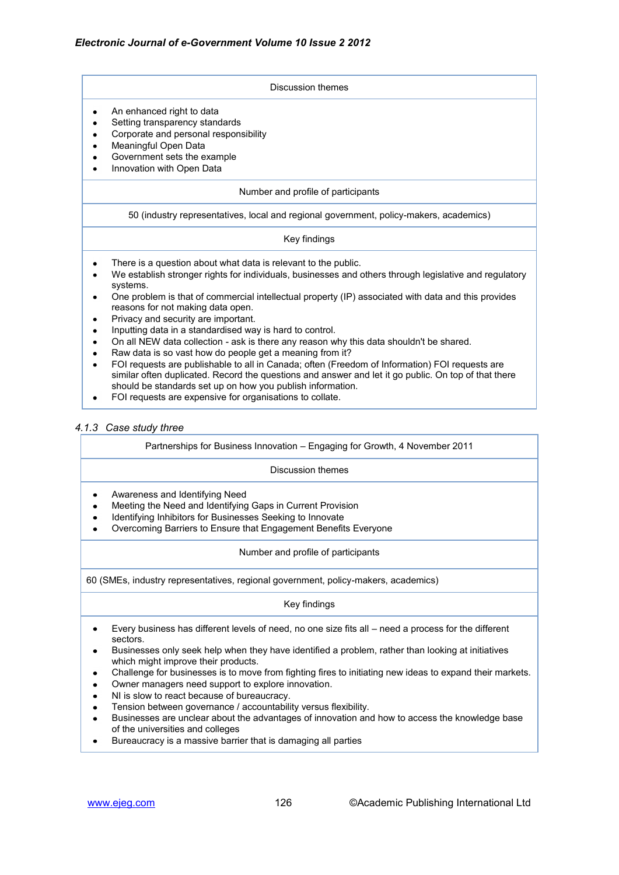#### Discussion themes An enhanced right to data  $\bullet$ Setting transparency standards  $\bullet$ Corporate and personal responsibility  $\bullet$ Meaningful Open Data Government sets the example Innovation with Open Data Number and profile of participants 50 (industry representatives, local and regional government, policy-makers, academics) Key findings There is a question about what data is relevant to the public.  $\bullet$ We establish stronger rights for individuals, businesses and others through legislative and regulatory systems. One problem is that of commercial intellectual property (IP) associated with data and this provides  $\bullet$ reasons for not making data open.

- Privacy and security are important.  $\bullet$
- Inputting data in a standardised way is hard to control.
- On all NEW data collection ask is there any reason why this data shouldn't be shared.
- Raw data is so vast how do people get a meaning from it?
- FOI requests are publishable to all in Canada; often (Freedom of Information) FOI requests are similar often duplicated. Record the questions and answer and let it go public. On top of that there should be standards set up on how you publish information.
- FOI requests are expensive for organisations to collate.  $\bullet$

### *4.1.3 Case study three*

| Partnerships for Business Innovation - Engaging for Growth, 4 November 2011                                                                                                                                                  |  |
|------------------------------------------------------------------------------------------------------------------------------------------------------------------------------------------------------------------------------|--|
| Discussion themes                                                                                                                                                                                                            |  |
| Awareness and Identifying Need<br>Meeting the Need and Identifying Gaps in Current Provision<br>Identifying Inhibitors for Businesses Seeking to Innovate<br>Overcoming Barriers to Ensure that Engagement Benefits Everyone |  |
| Number and profile of participants                                                                                                                                                                                           |  |
| 60 (SMEs, industry representatives, regional government, policy-makers, academics)                                                                                                                                           |  |
| Key findings                                                                                                                                                                                                                 |  |

- Every business has different levels of need, no one size fits all need a process for the different  $\bullet$ sectors.
- Businesses only seek help when they have identified a problem, rather than looking at initiatives  $\bullet$ which might improve their products.
- Challenge for businesses is to move from fighting fires to initiating new ideas to expand their markets.
- Owner managers need support to explore innovation.
- NI is slow to react because of bureaucracy.
- Tension between governance / accountability versus flexibility.
- Businesses are unclear about the advantages of innovation and how to access the knowledge base of the universities and colleges
- Bureaucracy is a massive barrier that is damaging all parties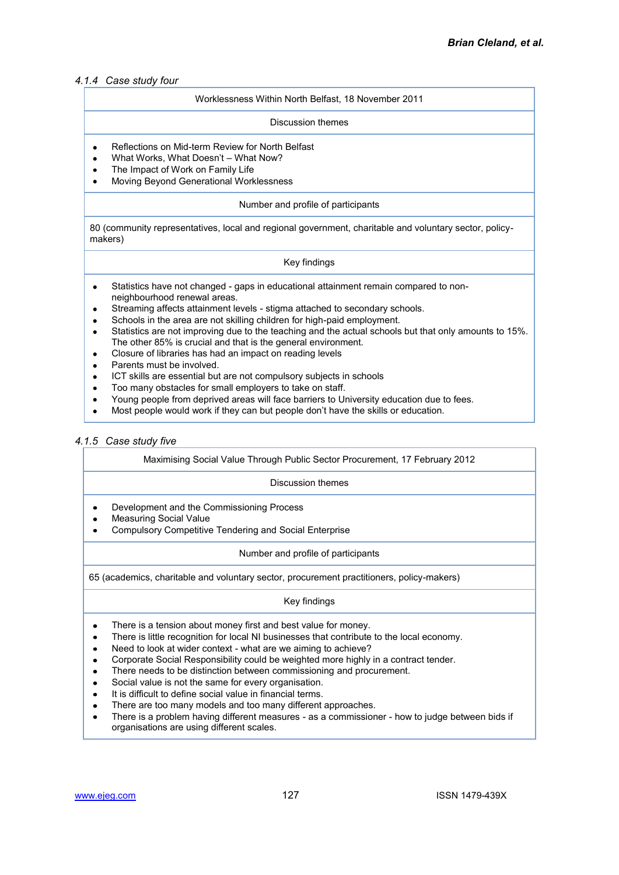### *4.1.4 Case study four*

#### Worklessness Within North Belfast, 18 November 2011

#### Discussion themes

- Reflections on Mid-term Review for North Belfast  $\bullet$
- What Works, What Doesn't What Now?
- The Impact of Work on Family Life
- Moving Beyond Generational Worklessness  $\bullet$

#### Number and profile of participants

80 (community representatives, local and regional government, charitable and voluntary sector, policymakers)

### Key findings

- Statistics have not changed gaps in educational attainment remain compared to non- $\bullet$ neighbourhood renewal areas.
- Streaming affects attainment levels stigma attached to secondary schools.
- Schools in the area are not skilling children for high-paid employment.
- Statistics are not improving due to the teaching and the actual schools but that only amounts to 15%.  $\bullet$ The other 85% is crucial and that is the general environment.
- Closure of libraries has had an impact on reading levels  $\bullet$
- Parents must be involved.
- ICT skills are essential but are not compulsory subjects in schools
- Too many obstacles for small employers to take on staff.
- Young people from deprived areas will face barriers to University education due to fees.
- Most people would work if they can but people don't have the skills or education.

### *4.1.5 Case study five*

#### Maximising Social Value Through Public Sector Procurement, 17 February 2012

#### Discussion themes

- Development and the Commissioning Process
- Measuring Social Value
- Compulsory Competitive Tendering and Social Enterprise

#### Number and profile of participants

65 (academics, charitable and voluntary sector, procurement practitioners, policy-makers)

#### Key findings

- There is a tension about money first and best value for money.  $\bullet$
- There is little recognition for local NI businesses that contribute to the local economy.  $\bullet$
- Need to look at wider context what are we aiming to achieve?  $\bullet$
- Corporate Social Responsibility could be weighted more highly in a contract tender.  $\bullet$
- There needs to be distinction between commissioning and procurement.  $\bullet$
- Social value is not the same for every organisation.
- It is difficult to define social value in financial terms.
- There are too many models and too many different approaches.
- There is a problem having different measures as a commissioner how to judge between bids if  $\bullet$ organisations are using different scales.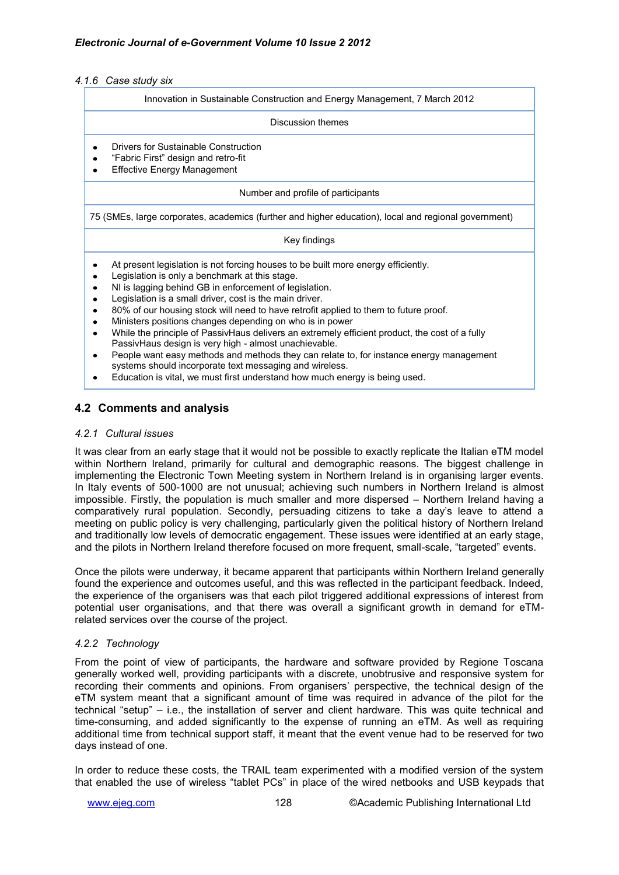*4.1.6 Case study six*

| Innovation in Sustainable Construction and Energy Management, 7 March 2012 |  |
|----------------------------------------------------------------------------|--|
|----------------------------------------------------------------------------|--|

#### Discussion themes

- Drivers for Sustainable Construction
- "Fabric First" design and retro-fit
- Effective Energy Management  $\bullet$

Number and profile of participants

75 (SMEs, large corporates, academics (further and higher education), local and regional government)

#### Key findings

- $\bullet$ At present legislation is not forcing houses to be built more energy efficiently.
- Legislation is only a benchmark at this stage.
- NI is lagging behind GB in enforcement of legislation.  $\bullet$
- Legislation is a small driver, cost is the main driver.  $\bullet$
- 80% of our housing stock will need to have retrofit applied to them to future proof.
- Ministers positions changes depending on who is in power
- While the principle of PassivHaus delivers an extremely efficient product, the cost of a fully PassivHaus design is very high - almost unachievable.
- People want easy methods and methods they can relate to, for instance energy management  $\bullet$ systems should incorporate text messaging and wireless.
- Education is vital, we must first understand how much energy is being used.

# **4.2 Comments and analysis**

### *4.2.1 Cultural issues*

It was clear from an early stage that it would not be possible to exactly replicate the Italian eTM model within Northern Ireland, primarily for cultural and demographic reasons. The biggest challenge in implementing the Electronic Town Meeting system in Northern Ireland is in organising larger events. In Italy events of 500-1000 are not unusual; achieving such numbers in Northern Ireland is almost impossible. Firstly, the population is much smaller and more dispersed – Northern Ireland having a comparatively rural population. Secondly, persuading citizens to take a day's leave to attend a meeting on public policy is very challenging, particularly given the political history of Northern Ireland and traditionally low levels of democratic engagement. These issues were identified at an early stage, and the pilots in Northern Ireland therefore focused on more frequent, small-scale, "targeted" events.

Once the pilots were underway, it became apparent that participants within Northern Ireland generally found the experience and outcomes useful, and this was reflected in the participant feedback. Indeed, the experience of the organisers was that each pilot triggered additional expressions of interest from potential user organisations, and that there was overall a significant growth in demand for eTMrelated services over the course of the project.

### *4.2.2 Technology*

From the point of view of participants, the hardware and software provided by Regione Toscana generally worked well, providing participants with a discrete, unobtrusive and responsive system for recording their comments and opinions. From organisers' perspective, the technical design of the eTM system meant that a significant amount of time was required in advance of the pilot for the technical "setup" – i.e., the installation of server and client hardware. This was quite technical and time-consuming, and added significantly to the expense of running an eTM. As well as requiring additional time from technical support staff, it meant that the event venue had to be reserved for two days instead of one.

In order to reduce these costs, the TRAIL team experimented with a modified version of the system that enabled the use of wireless "tablet PCs" in place of the wired netbooks and USB keypads that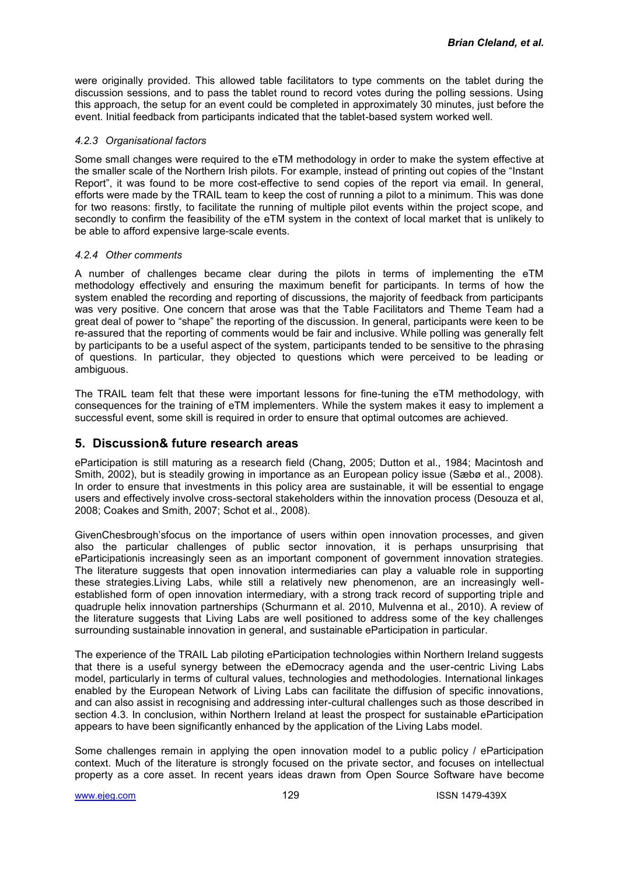were originally provided. This allowed table facilitators to type comments on the tablet during the discussion sessions, and to pass the tablet round to record votes during the polling sessions. Using this approach, the setup for an event could be completed in approximately 30 minutes, just before the event. Initial feedback from participants indicated that the tablet-based system worked well.

### *4.2.3 Organisational factors*

Some small changes were required to the eTM methodology in order to make the system effective at the smaller scale of the Northern Irish pilots. For example, instead of printing out copies of the "Instant Report", it was found to be more cost-effective to send copies of the report via email. In general, efforts were made by the TRAIL team to keep the cost of running a pilot to a minimum. This was done for two reasons: firstly, to facilitate the running of multiple pilot events within the project scope, and secondly to confirm the feasibility of the eTM system in the context of local market that is unlikely to be able to afford expensive large-scale events.

### *4.2.4 Other comments*

A number of challenges became clear during the pilots in terms of implementing the eTM methodology effectively and ensuring the maximum benefit for participants. In terms of how the system enabled the recording and reporting of discussions, the majority of feedback from participants was very positive. One concern that arose was that the Table Facilitators and Theme Team had a great deal of power to "shape" the reporting of the discussion. In general, participants were keen to be re-assured that the reporting of comments would be fair and inclusive. While polling was generally felt by participants to be a useful aspect of the system, participants tended to be sensitive to the phrasing of questions. In particular, they objected to questions which were perceived to be leading or ambiguous.

The TRAIL team felt that these were important lessons for fine-tuning the eTM methodology, with consequences for the training of eTM implementers. While the system makes it easy to implement a successful event, some skill is required in order to ensure that optimal outcomes are achieved.

# **5. Discussion& future research areas**

eParticipation is still maturing as a research field (Chang, 2005; Dutton et al., 1984; Macintosh and Smith, 2002), but is steadily growing in importance as an European policy issue (Sæbø et al., 2008). In order to ensure that investments in this policy area are sustainable, it will be essential to engage users and effectively involve cross-sectoral stakeholders within the innovation process (Desouza et al, 2008; Coakes and Smith, 2007; Schot et al., 2008).

GivenChesbrough'sfocus on the importance of users within open innovation processes, and given also the particular challenges of public sector innovation, it is perhaps unsurprising that eParticipationis increasingly seen as an important component of government innovation strategies. The literature suggests that open innovation intermediaries can play a valuable role in supporting these strategies.Living Labs, while still a relatively new phenomenon, are an increasingly wellestablished form of open innovation intermediary, with a strong track record of supporting triple and quadruple helix innovation partnerships (Schurmann et al. 2010, Mulvenna et al., 2010). A review of the literature suggests that Living Labs are well positioned to address some of the key challenges surrounding sustainable innovation in general, and sustainable eParticipation in particular.

The experience of the TRAIL Lab piloting eParticipation technologies within Northern Ireland suggests that there is a useful synergy between the eDemocracy agenda and the user-centric Living Labs model, particularly in terms of cultural values, technologies and methodologies. International linkages enabled by the European Network of Living Labs can facilitate the diffusion of specific innovations, and can also assist in recognising and addressing inter-cultural challenges such as those described in section 4.3. In conclusion, within Northern Ireland at least the prospect for sustainable eParticipation appears to have been significantly enhanced by the application of the Living Labs model.

Some challenges remain in applying the open innovation model to a public policy / eParticipation context. Much of the literature is strongly focused on the private sector, and focuses on intellectual property as a core asset. In recent years ideas drawn from Open Source Software have become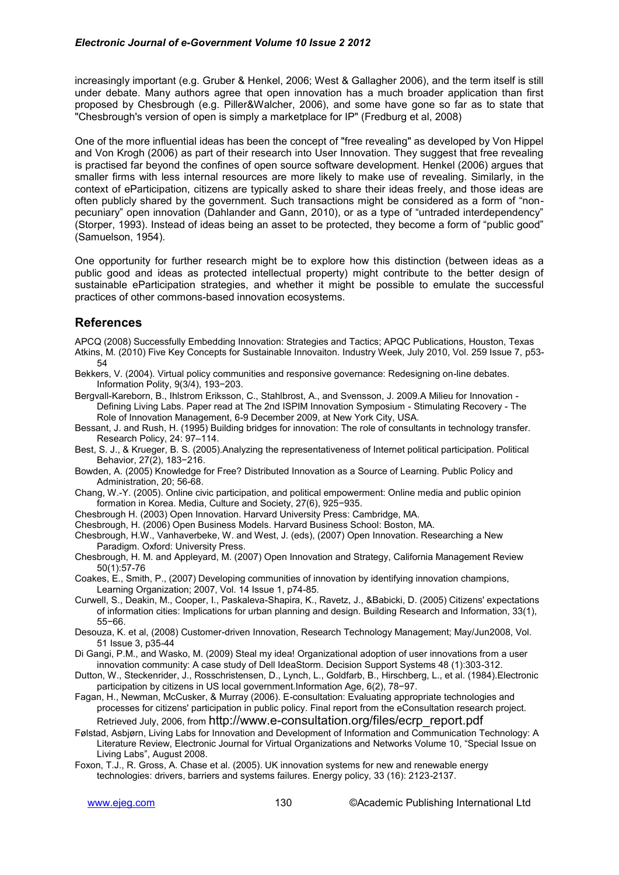increasingly important (e.g. Gruber & Henkel, 2006; West & Gallagher 2006), and the term itself is still under debate. Many authors agree that open innovation has a much broader application than first proposed by Chesbrough (e.g. Piller&Walcher, 2006), and some have gone so far as to state that "Chesbrough's version of open is simply a marketplace for IP" (Fredburg et al, 2008)

One of the more influential ideas has been the concept of "free revealing" as developed by Von Hippel and Von Krogh (2006) as part of their research into User Innovation. They suggest that free revealing is practised far beyond the confines of open source software development. Henkel (2006) argues that smaller firms with less internal resources are more likely to make use of revealing. Similarly, in the context of eParticipation, citizens are typically asked to share their ideas freely, and those ideas are often publicly shared by the government. Such transactions might be considered as a form of "nonpecuniary" open innovation (Dahlander and Gann, 2010), or as a type of "untraded interdependency" (Storper, 1993). Instead of ideas being an asset to be protected, they become a form of "public good" (Samuelson, 1954).

One opportunity for further research might be to explore how this distinction (between ideas as a public good and ideas as protected intellectual property) might contribute to the better design of sustainable eParticipation strategies, and whether it might be possible to emulate the successful practices of other commons-based innovation ecosystems.

### **References**

APCQ (2008) Successfully Embedding Innovation: Strategies and Tactics; APQC Publications, Houston, Texas Atkins, M. (2010) Five Key Concepts for Sustainable Innovaiton. Industry Week, July 2010, Vol. 259 Issue 7, p53- 54

Bekkers, V. (2004). Virtual policy communities and responsive governance: Redesigning on-line debates. Information Polity, 9(3/4), 193−203.

Bergvall-Kareborn, B., Ihlstrom Eriksson, C., Stahlbrost, A., and Svensson, J. 2009.A Milieu for Innovation - Defining Living Labs. Paper read at The 2nd ISPIM Innovation Symposium - Stimulating Recovery - The Role of Innovation Management, 6-9 December 2009, at New York City, USA.

Bessant, J. and Rush, H. (1995) Building bridges for innovation: The role of consultants in technology transfer. Research Policy, 24: 97–114.

Best, S. J., & Krueger, B. S. (2005).Analyzing the representativeness of Internet political participation. Political Behavior, 27(2), 183−216.

Bowden, A. (2005) Knowledge for Free? Distributed Innovation as a Source of Learning. Public Policy and Administration, 20; 56-68.

Chang, W.-Y. (2005). Online civic participation, and political empowerment: Online media and public opinion formation in Korea. Media, Culture and Society, 27(6), 925−935.

Chesbrough H. (2003) Open Innovation. Harvard University Press: Cambridge, MA.

Chesbrough, H. (2006) Open Business Models. Harvard Business School: Boston, MA.

Chesbrough, H.W., Vanhaverbeke, W. and West, J. (eds), (2007) Open Innovation. Researching a New Paradigm. Oxford: University Press.

Chesbrough, H. M. and Appleyard, M. (2007) Open Innovation and Strategy, California Management Review 50(1):57-76

Coakes, E., Smith, P., (2007) Developing communities of innovation by identifying innovation champions, Learning Organization; 2007, Vol. 14 Issue 1, p74-85.

Curwell, S., Deakin, M., Cooper, I., Paskaleva-Shapira, K., Ravetz, J., &Babicki, D. (2005) Citizens' expectations of information cities: Implications for urban planning and design. Building Research and Information, 33(1), 55−66.

Desouza, K. et al, (2008) Customer-driven Innovation, Research Technology Management; May/Jun2008, Vol. 51 Issue 3, p35-44

Di Gangi, P.M., and Wasko, M. (2009) Steal my idea! Organizational adoption of user innovations from a user innovation community: A case study of Dell IdeaStorm. Decision Support Systems 48 (1):303-312.

Dutton, W., Steckenrider, J., Rosschristensen, D., Lynch, L., Goldfarb, B., Hirschberg, L., et al. (1984).Electronic participation by citizens in US local government.Information Age, 6(2), 78−97.

- Fagan, H., Newman, McCusker, & Murray (2006). E-consultation: Evaluating appropriate technologies and processes for citizens' participation in public policy. Final report from the eConsultation research project. Retrieved July, 2006, from http://www.e-consultation.org/files/ecrp\_report.pdf
- Følstad, Asbjørn, Living Labs for Innovation and Development of Information and Communication Technology: A Literature Review, Electronic Journal for Virtual Organizations and Networks Volume 10, "Special Issue on Living Labs", August 2008.
- Foxon, T.J., R. Gross, A. Chase et al. (2005). UK innovation systems for new and renewable energy technologies: drivers, barriers and systems failures. Energy policy, 33 (16): 2123-2137.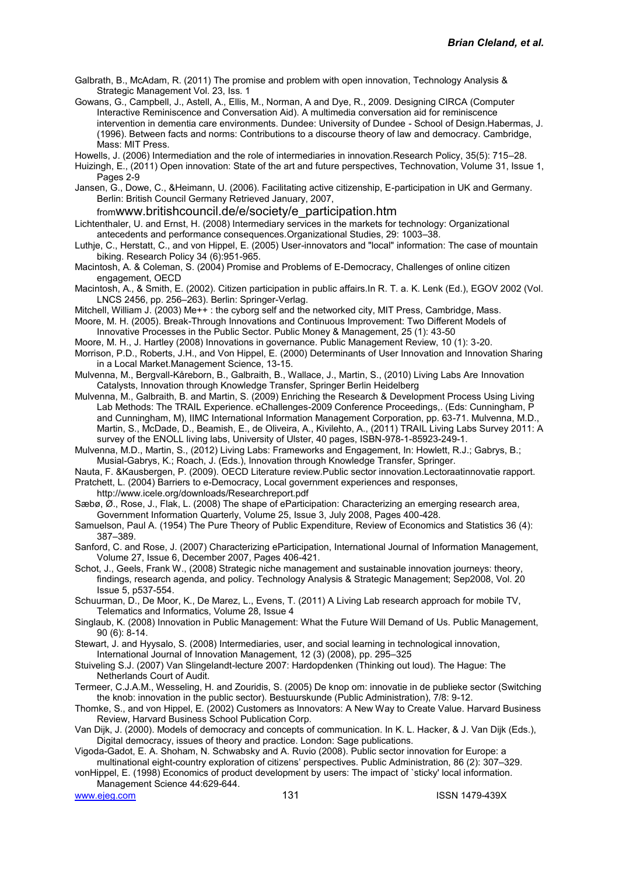Galbrath, B., McAdam, R. (2011) The promise and problem with open innovation, Technology Analysis & Strategic Management Vol. 23, Iss. 1

Gowans, G., Campbell, J., Astell, A., Ellis, M., Norman, A and Dye, R., 2009. Designing CIRCA (Computer Interactive Reminiscence and Conversation Aid). A multimedia conversation aid for reminiscence intervention in dementia care environments. Dundee: University of Dundee - School of Design.Habermas, J. (1996). Between facts and norms: Contributions to a discourse theory of law and democracy. Cambridge, Mass: MIT Press.

Howells, J. (2006) Intermediation and the role of intermediaries in innovation.Research Policy, 35(5): 715–28.

Huizingh, E., (2011) Open innovation: State of the art and future perspectives, Technovation, Volume 31, Issue 1, Pages 2-9

Jansen, G., Dowe, C., &Heimann, U. (2006). Facilitating active citizenship, E-participation in UK and Germany. Berlin: British Council Germany Retrieved January, 2007,

fromwww.britishcouncil.de/e/society/e\_participation.htm

Lichtenthaler, U. and Ernst, H. (2008) Intermediary services in the markets for technology: Organizational antecedents and performance consequences.Organizational Studies, 29: 1003–38.

Luthje, C., Herstatt, C., and von Hippel, E. (2005) User-innovators and "local" information: The case of mountain biking. Research Policy 34 (6):951-965.

Macintosh, A. & Coleman, S. (2004) Promise and Problems of E-Democracy, Challenges of online citizen engagement, OECD

Macintosh, A., & Smith, E. (2002). Citizen participation in public affairs.In R. T. a. K. Lenk (Ed.), EGOV 2002 (Vol. LNCS 2456, pp. 256–263). Berlin: Springer-Verlag.

Mitchell, William J. (2003) Me++ : the cyborg self and the networked city, MIT Press, Cambridge, Mass.

Moore, M. H. (2005). Break-Through Innovations and Continuous Improvement: Two Different Models of Innovative Processes in the Public Sector. Public Money & Management, 25 (1): 43-50

Moore, M. H., J. Hartley (2008) Innovations in governance. Public Management Review, 10 (1): 3-20.

Morrison, P.D., Roberts, J.H., and Von Hippel, E. (2000) Determinants of User Innovation and Innovation Sharing in a Local Market.Management Science, 13-15.

Mulvenna, M., Bergvall-Kåreborn, B., Galbraith, B., Wallace, J., Martin, S., (2010) Living Labs Are Innovation Catalysts, Innovation through Knowledge Transfer, Springer Berlin Heidelberg

Mulvenna, M., Galbraith, B. and Martin, S. (2009) Enriching the Research & Development Process Using Living Lab Methods: The TRAIL Experience. eChallenges-2009 Conference Proceedings,. (Eds: Cunningham, P and Cunningham, M), IIMC International Information Management Corporation, pp. 63-71. Mulvenna, M.D., Martin, S., McDade, D., Beamish, E., de Oliveira, A., Kivilehto, A., (2011) TRAIL Living Labs Survey 2011: A survey of the ENOLL living labs, University of Ulster, 40 pages, ISBN-978-1-85923-249-1.

Mulvenna, M.D., Martin, S., (2012) Living Labs: Frameworks and Engagement, In: Howlett, R.J.; Gabrys, B.; Musial-Gabrys, K.; Roach, J. (Eds.), Innovation through Knowledge Transfer, Springer.

Nauta, F. &Kausbergen, P. (2009). OECD Literature review.Public sector innovation.Lectoraatinnovatie rapport. Pratchett, L. (2004) Barriers to e-Democracy, Local government experiences and responses,

http://www.icele.org/downloads/Researchreport.pdf

Sæbø, Ø., Rose, J., Flak, L. (2008) The shape of eParticipation: Characterizing an emerging research area, Government Information Quarterly, Volume 25, Issue 3, July 2008, Pages 400-428.

Samuelson, Paul A. (1954) The Pure Theory of Public Expenditure, Review of Economics and Statistics 36 (4): 387–389.

Sanford, C. and Rose, J. (2007) Characterizing eParticipation, International Journal of Information Management, Volume 27, Issue 6, December 2007, Pages 406-421.

Schot, J., Geels, Frank W., (2008) Strategic niche management and sustainable innovation journeys: theory, findings, research agenda, and policy. Technology Analysis & Strategic Management; Sep2008, Vol. 20 Issue 5, p537-554.

Schuurman, D., De Moor, K., De Marez, L., Evens, T. (2011) A Living Lab research approach for mobile TV, Telematics and Informatics, Volume 28, Issue 4

Singlaub, K. (2008) Innovation in Public Management: What the Future Will Demand of Us. Public Management, 90 (6): 8-14.

Stewart, J. and Hyysalo, S. (2008) Intermediaries, user, and social learning in technological innovation, International Journal of Innovation Management, 12 (3) (2008), pp. 295–325

Stuiveling S.J. (2007) Van Slingelandt-lecture 2007: Hardopdenken (Thinking out loud). The Hague: The Netherlands Court of Audit.

Termeer, C.J.A.M., Wesseling, H. and Zouridis, S. (2005) De knop om: innovatie in de publieke sector (Switching the knob: innovation in the public sector). Bestuurskunde (Public Administration), 7/8: 9-12.

Thomke, S., and von Hippel, E. (2002) Customers as Innovators: A New Way to Create Value. Harvard Business Review, Harvard Business School Publication Corp.

Van Dijk, J. (2000). Models of democracy and concepts of communication. In K. L. Hacker, & J. Van Dijk (Eds.), Digital democracy, issues of theory and practice. London: Sage publications.

Vigoda-Gadot, E. A. Shoham, N. Schwabsky and A. Ruvio (2008). Public sector innovation for Europe: a multinational eight-country exploration of citizens' perspectives. Public Administration, 86 (2): 307–329.

vonHippel, E. (1998) Economics of product development by users: The impact of `sticky' local information. Management Science 44:629-644.